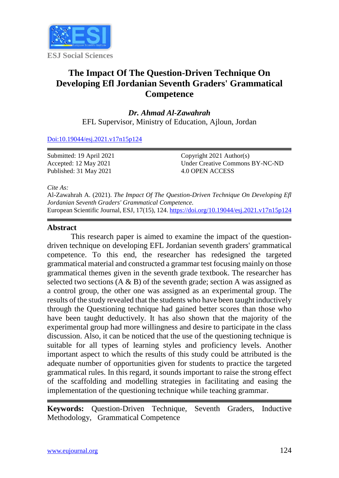

# **The Impact Of The Question-Driven Technique On Developing Efl Jordanian Seventh Graders' Grammatical Competence**

*Dr. Ahmad Al-Zawahrah* EFL Supervisor, Ministry of Education, Ajloun, Jordan

[Doi:10.19044/esj.2021.v17n15p124](https://doi.org/10.19044/esj.2021.v17n15p1)

Submitted: 19 April 2021 Accepted: 12 May 2021 Published: 31 May 2021

Copyright 2021 Author(s) Under Creative Commons BY-NC-ND 4.0 OPEN ACCESS

*Cite As:*

Al-Zawahrah A. (2021). *The Impact Of The Question-Driven Technique On Developing Efl Jordanian Seventh Graders' Grammatical Competence.* European Scientific Journal, ESJ, 17(15), 124[. https://doi.org/10.19044/esj.2021.v17n15p124](https://doi.org/10.19044/esj.2021.v17n15p124)

## **Abstract**

This research paper is aimed to examine the impact of the questiondriven technique on developing EFL Jordanian seventh graders' grammatical competence. To this end, the researcher has redesigned the targeted grammatical material and constructed a grammar test focusing mainly on those grammatical themes given in the seventh grade textbook. The researcher has selected two sections  $(A \& B)$  of the seventh grade; section A was assigned as a control group, the other one was assigned as an experimental group. The results of the study revealed that the students who have been taught inductively through the Questioning technique had gained better scores than those who have been taught deductively. It has also shown that the majority of the experimental group had more willingness and desire to participate in the class discussion. Also, it can be noticed that the use of the questioning technique is suitable for all types of learning styles and proficiency levels. Another important aspect to which the results of this study could be attributed is the adequate number of opportunities given for students to practice the targeted grammatical rules. In this regard, it sounds important to raise the strong effect of the scaffolding and modelling strategies in facilitating and easing the implementation of the questioning technique while teaching grammar.

**Keywords:** Question-Driven Technique, Seventh Graders, Inductive Methodology, Grammatical Competence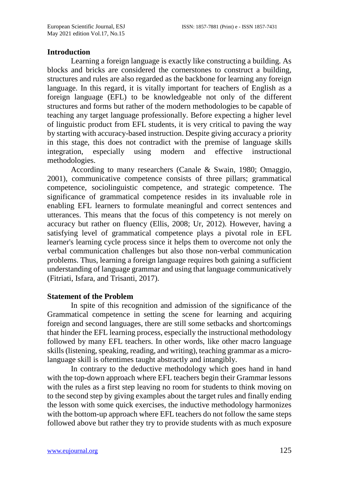#### **Introduction**

Learning a foreign language is exactly like constructing a building. As blocks and bricks are considered the cornerstones to construct a building, structures and rules are also regarded as the backbone for learning any foreign language. In this regard, it is vitally important for teachers of English as a foreign language (EFL) to be knowledgeable not only of the different structures and forms but rather of the modern methodologies to be capable of teaching any target language professionally. Before expecting a higher level of linguistic product from EFL students, it is very critical to paving the way by starting with accuracy-based instruction. Despite giving accuracy a priority in this stage, this does not contradict with the premise of language skills integration, especially using modern and effective instructional especially using modern and effective instructional methodologies.

According to many researchers (Canale & Swain, 1980; Omaggio, 2001), communicative competence consists of three pillars; grammatical competence, sociolinguistic competence, and strategic competence. The significance of grammatical competence resides in its invaluable role in enabling EFL learners to formulate meaningful and correct sentences and utterances. This means that the focus of this competency is not merely on accuracy but rather on fluency (Ellis, 2008; Ur, 2012). However, having a satisfying level of grammatical competence plays a pivotal role in EFL learner's learning cycle process since it helps them to overcome not only the verbal communication challenges but also those non-verbal communication problems. Thus, learning a foreign language requires both gaining a sufficient understanding of language grammar and using that language communicatively (Fitriati, Isfara, and Trisanti, 2017).

#### **Statement of the Problem**

In spite of this recognition and admission of the significance of the Grammatical competence in setting the scene for learning and acquiring foreign and second languages, there are still some setbacks and shortcomings that hinder the EFL learning process, especially the instructional methodology followed by many EFL teachers. In other words, like other macro language skills (listening, speaking, reading, and writing), teaching grammar as a microlanguage skill is oftentimes taught abstractly and intangibly.

In contrary to the deductive methodology which goes hand in hand with the top-down approach where EFL teachers begin their Grammar lessons with the rules as a first step leaving no room for students to think moving on to the second step by giving examples about the target rules and finally ending the lesson with some quick exercises, the inductive methodology harmonizes with the bottom-up approach where EFL teachers do not follow the same steps followed above but rather they try to provide students with as much exposure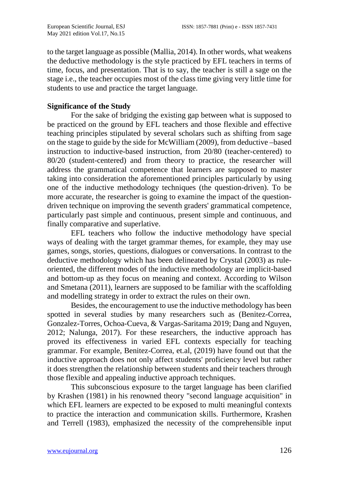to the target language as possible (Mallia, 2014). In other words, what weakens the deductive methodology is the style practiced by EFL teachers in terms of time, focus, and presentation. That is to say, the teacher is still a sage on the stage i.e., the teacher occupies most of the class time giving very little time for students to use and practice the target language.

## **Significance of the Study**

For the sake of bridging the existing gap between what is supposed to be practiced on the ground by EFL teachers and those flexible and effective teaching principles stipulated by several scholars such as shifting from sage on the stage to guide by the side for McWilliam (2009), from deductive –based instruction to inductive-based instruction, from 20/80 (teacher-centered) to 80/20 (student-centered) and from theory to practice, the researcher will address the grammatical competence that learners are supposed to master taking into consideration the aforementioned principles particularly by using one of the inductive methodology techniques (the question-driven). To be more accurate, the researcher is going to examine the impact of the questiondriven technique on improving the seventh graders' grammatical competence, particularly past simple and continuous, present simple and continuous, and finally comparative and superlative.

EFL teachers who follow the inductive methodology have special ways of dealing with the target grammar themes, for example, they may use games, songs, stories, questions, dialogues or conversations. In contrast to the deductive methodology which has been delineated by Crystal (2003) as ruleoriented, the different modes of the inductive methodology are implicit-based and bottom-up as they focus on meaning and context. According to Wilson and Smetana (2011), learners are supposed to be familiar with the scaffolding and modelling strategy in order to extract the rules on their own.

Besides, the encouragement to use the inductive methodology has been spotted in several studies by many researchers such as (Benitez-Correa, Gonzalez-Torres, Ochoa-Cueva, & Vargas-Saritama 2019; Dang and Nguyen, 2012; Nalunga, 2017). For these researchers, the inductive approach has proved its effectiveness in varied EFL contexts especially for teaching grammar. For example, Benitez-Correa, et.al, (2019) have found out that the inductive approach does not only affect students' proficiency level but rather it does strengthen the relationship between students and their teachers through those flexible and appealing inductive approach techniques.

This subconscious exposure to the target language has been clarified by Krashen (1981) in his renowned theory "second language acquisition" in which EFL learners are expected to be exposed to multi meaningful contexts to practice the interaction and communication skills. Furthermore, Krashen and Terrell (1983), emphasized the necessity of the comprehensible input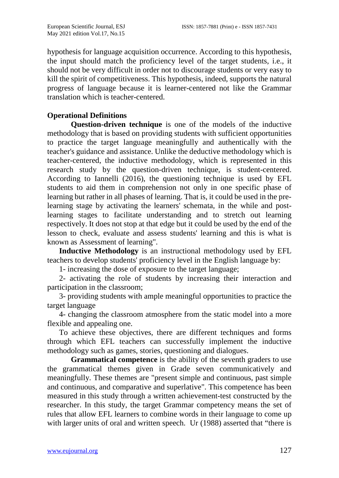hypothesis for language acquisition occurrence. According to this hypothesis, the input should match the proficiency level of the target students, i.e., it should not be very difficult in order not to discourage students or very easy to kill the spirit of competitiveness. This hypothesis, indeed, supports the natural progress of language because it is learner-centered not like the Grammar translation which is teacher-centered.

## **Operational Definitions**

**Question-driven technique** is one of the models of the inductive methodology that is based on providing students with sufficient opportunities to practice the target language meaningfully and authentically with the teacher's guidance and assistance. Unlike the deductive methodology which is teacher-centered, the inductive methodology, which is represented in this research study by the question-driven technique, is student-centered. According to Iannelli (2016), the questioning technique is used by EFL students to aid them in comprehension not only in one specific phase of learning but rather in all phases of learning. That is, it could be used in the prelearning stage by activating the learners' schemata, in the while and postlearning stages to facilitate understanding and to stretch out learning respectively. It does not stop at that edge but it could be used by the end of the lesson to check, evaluate and assess students' learning and this is what is known as Assessment of learning".

**Inductive Methodology** is an instructional methodology used by EFL teachers to develop students' proficiency level in the English language by:

1- increasing the dose of exposure to the target language;

2- activating the role of students by increasing their interaction and participation in the classroom;

3- providing students with ample meaningful opportunities to practice the target language

4- changing the classroom atmosphere from the static model into a more flexible and appealing one.

To achieve these objectives, there are different techniques and forms through which EFL teachers can successfully implement the inductive methodology such as games, stories, questioning and dialogues.

**Grammatical competence** is the ability of the seventh graders to use the grammatical themes given in Grade seven communicatively and meaningfully. These themes are "present simple and continuous, past simple and continuous, and comparative and superlative". This competence has been measured in this study through a written achievement-test constructed by the researcher. In this study, the target Grammar competency means the set of rules that allow EFL learners to combine words in their language to come up with larger units of oral and written speech. Ur (1988) asserted that "there is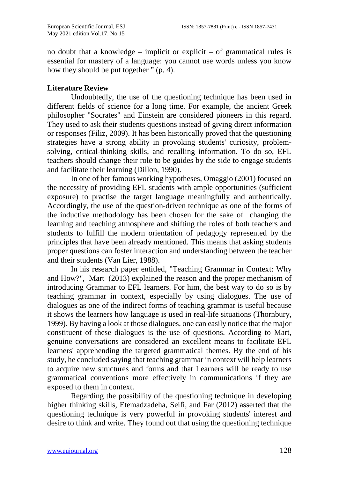no doubt that a knowledge – implicit or explicit – of grammatical rules is essential for mastery of a language: you cannot use words unless you know how they should be put together  $\frac{1}{2}$  (p. 4).

#### **Literature Review**

Undoubtedly, the use of the questioning technique has been used in different fields of science for a long time. For example, the ancient Greek philosopher "Socrates" and Einstein are considered pioneers in this regard. They used to ask their students questions instead of giving direct information or responses (Filiz, 2009). It has been historically proved that the questioning strategies have a strong ability in provoking students' curiosity, problemsolving, critical-thinking skills, and recalling information. To do so, EFL teachers should change their role to be guides by the side to engage students and facilitate their learning (Dillon, 1990).

In one of her famous working hypotheses, Omaggio (2001) focused on the necessity of providing EFL students with ample opportunities (sufficient exposure) to practise the target language meaningfully and authentically. Accordingly, the use of the question-driven technique as one of the forms of the inductive methodology has been chosen for the sake of changing the learning and teaching atmosphere and shifting the roles of both teachers and students to fulfill the modern orientation of pedagogy represented by the principles that have been already mentioned. This means that asking students proper questions can foster interaction and understanding between the teacher and their students (Van Lier, 1988).

In his research paper entitled, "Teaching Grammar in Context: Why and How?", Mart (2013) explained the reason and the proper mechanism of introducing Grammar to EFL learners. For him, the best way to do so is by teaching grammar in context, especially by using dialogues. The use of dialogues as one of the indirect forms of teaching grammar is useful because it shows the learners how language is used in real-life situations (Thornbury, 1999). By having a look at those dialogues, one can easily notice that the major constituent of these dialogues is the use of questions. According to Mart, genuine conversations are considered an excellent means to facilitate EFL learners' apprehending the targeted grammatical themes. By the end of his study, he concluded saying that teaching grammar in context will help learners to acquire new structures and forms and that Learners will be ready to use grammatical conventions more effectively in communications if they are exposed to them in context.

Regarding the possibility of the questioning technique in developing higher thinking skills, Etemadzadeha, Seifi, and Far (2012) asserted that the questioning technique is very powerful in provoking students' interest and desire to think and write. They found out that using the questioning technique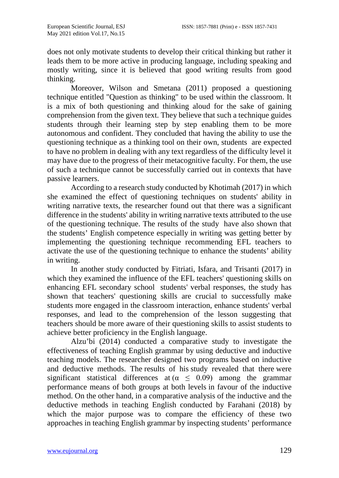does not only motivate students to develop their critical thinking but rather it leads them to be more active in producing language, including speaking and mostly writing, since it is believed that good writing results from good thinking.

Moreover, Wilson and Smetana (2011) proposed a questioning technique entitled "Question as thinking" to be used within the classroom. It is a mix of both questioning and thinking aloud for the sake of gaining comprehension from the given text. They believe that such a technique guides students through their learning step by step enabling them to be more autonomous and confident. They concluded that having the ability to use the questioning technique as a thinking tool on their own, students are expected to have no problem in dealing with any text regardless of the difficulty level it may have due to the progress of their metacognitive faculty. For them, the use of such a technique cannot be successfully carried out in contexts that have passive learners.

According to a research study conducted by Khotimah (2017) in which she examined the effect of questioning techniques on students' ability in writing narrative texts, the researcher found out that there was a significant difference in the students' ability in writing narrative texts attributed to the use of the questioning technique. The results of the study have also shown that the students' English competence especially in writing was getting better by implementing the questioning technique recommending EFL teachers to activate the use of the questioning technique to enhance the students' ability in writing.

In another study conducted by Fitriati, Isfara, and Trisanti (2017) in which they examined the influence of the EFL teachers' questioning skills on enhancing EFL secondary school students' verbal responses, the study has shown that teachers' questioning skills are crucial to successfully make students more engaged in the classroom interaction, enhance students' verbal responses, and lead to the comprehension of the lesson suggesting that teachers should be more aware of their questioning skills to assist students to achieve better proficiency in the English language.

Alzu'bi (2014) conducted a comparative study to investigate the effectiveness of teaching English grammar by using deductive and inductive teaching models. The researcher designed two programs based on inductive and deductive methods. The results of his study revealed that there were significant statistical differences at  $(\alpha \leq 0.09)$  among the grammar performance means of both groups at both levels in favour of the inductive method. On the other hand, in a comparative analysis of the inductive and the deductive methods in teaching English conducted by Farahani (2018) by which the major purpose was to compare the efficiency of these two approaches in teaching English grammar by inspecting students' performance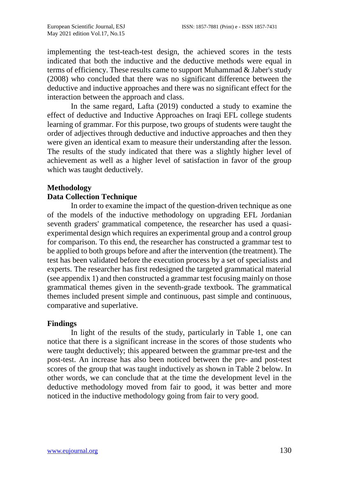implementing the test-teach-test design, the achieved scores in the tests indicated that both the inductive and the deductive methods were equal in terms of efficiency. These results came to support Muhammad & Jaber's study (2008) who concluded that there was no significant difference between the deductive and inductive approaches and there was no significant effect for the interaction between the approach and class.

In the same regard, Lafta (2019) conducted a study to examine the effect of deductive and Inductive Approaches on Iraqi EFL college students learning of grammar. For this purpose, two groups of students were taught the order of adjectives through deductive and inductive approaches and then they were given an identical exam to measure their understanding after the lesson. The results of the study indicated that there was a slightly higher level of achievement as well as a higher level of satisfaction in favor of the group which was taught deductively.

## **Methodology**

#### **Data Collection Technique**

In order to examine the impact of the question-driven technique as one of the models of the inductive methodology on upgrading EFL Jordanian seventh graders' grammatical competence, the researcher has used a quasiexperimental design which requires an experimental group and a control group for comparison. To this end, the researcher has constructed a grammar test to be applied to both groups before and after the intervention (the treatment). The test has been validated before the execution process by a set of specialists and experts. The researcher has first redesigned the targeted grammatical material (see appendix 1) and then constructed a grammar test focusing mainly on those grammatical themes given in the seventh-grade textbook. The grammatical themes included present simple and continuous, past simple and continuous, comparative and superlative.

#### **Findings**

In light of the results of the study, particularly in Table 1, one can notice that there is a significant increase in the scores of those students who were taught deductively; this appeared between the grammar pre-test and the post-test. An increase has also been noticed between the pre- and post-test scores of the group that was taught inductively as shown in Table 2 below. In other words, we can conclude that at the time the development level in the deductive methodology moved from fair to good, it was better and more noticed in the inductive methodology going from fair to very good.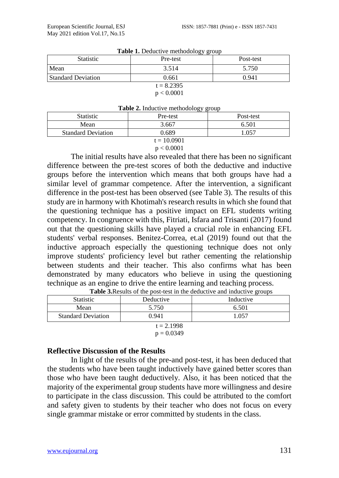| $\frac{1}{2}$             |          |           |  |  |  |
|---------------------------|----------|-----------|--|--|--|
| <b>Statistic</b>          | Pre-test | Post-test |  |  |  |
| Mean                      | 3.514    | 5.750     |  |  |  |
| <b>Standard Deviation</b> | 0.661    | 0.941     |  |  |  |
| $t = 8.2395$              |          |           |  |  |  |
| p < 0.0001                |          |           |  |  |  |

| Table 1. Deductive methodology group |  |  |  |
|--------------------------------------|--|--|--|
|--------------------------------------|--|--|--|

# **Table 2.** Inductive methodology group

| <b>Statistic</b>          | <b>THERE EXAMPLE THE EXAMPLE THE EXAMPLE THE</b><br>Pre-test | Post-test |  |  |  |
|---------------------------|--------------------------------------------------------------|-----------|--|--|--|
| Mean                      | 3.667                                                        | 6.501     |  |  |  |
| <b>Standard Deviation</b> | 0.689                                                        | .057      |  |  |  |
| $t = 10.0901$             |                                                              |           |  |  |  |

#### $p < 0.0001$

The initial results have also revealed that there has been no significant difference between the pre-test scores of both the deductive and inductive groups before the intervention which means that both groups have had a similar level of grammar competence. After the intervention, a significant difference in the post-test has been observed (see Table 3). The results of this study are in harmony with Khotimah's research results in which she found that the questioning technique has a positive impact on EFL students writing competency. In congruence with this, Fitriati, Isfara and Trisanti (2017) found out that the questioning skills have played a crucial role in enhancing EFL students' verbal responses. Benitez-Correa, et.al (2019) found out that the inductive approach especially the questioning technique does not only improve students' proficiency level but rather cementing the relationship between students and their teacher. This also confirms what has been demonstrated by many educators who believe in using the questioning technique as an engine to drive the entire learning and teaching process.

| <b>Statistic</b>          | Deductive | Inductive |  |  |  |
|---------------------------|-----------|-----------|--|--|--|
| Mean                      | 5.750     | 6.501     |  |  |  |
| <b>Standard Deviation</b> | 0.941     | 1.057     |  |  |  |
| $t = 2.1998$              |           |           |  |  |  |
| $p = 0.0349$              |           |           |  |  |  |

|  | Table 3. Results of the post-test in the deductive and inductive groups |  |
|--|-------------------------------------------------------------------------|--|
|--|-------------------------------------------------------------------------|--|

#### **Reflective Discussion of the Results**

In light of the results of the pre-and post-test, it has been deduced that the students who have been taught inductively have gained better scores than those who have been taught deductively. Also, it has been noticed that the majority of the experimental group students have more willingness and desire to participate in the class discussion. This could be attributed to the comfort and safety given to students by their teacher who does not focus on every single grammar mistake or error committed by students in the class.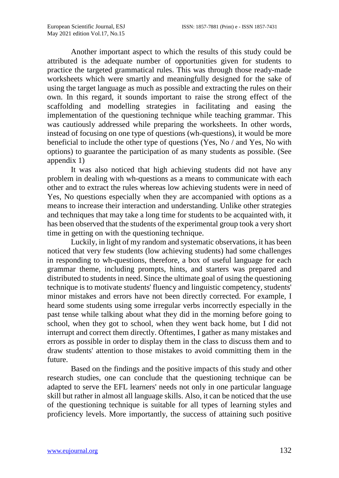Another important aspect to which the results of this study could be attributed is the adequate number of opportunities given for students to practice the targeted grammatical rules. This was through those ready-made worksheets which were smartly and meaningfully designed for the sake of using the target language as much as possible and extracting the rules on their own. In this regard, it sounds important to raise the strong effect of the scaffolding and modelling strategies in facilitating and easing the implementation of the questioning technique while teaching grammar. This was cautiously addressed while preparing the worksheets. In other words, instead of focusing on one type of questions (wh-questions), it would be more beneficial to include the other type of questions (Yes, No / and Yes, No with options) to guarantee the participation of as many students as possible. (See appendix 1)

It was also noticed that high achieving students did not have any problem in dealing with wh-questions as a means to communicate with each other and to extract the rules whereas low achieving students were in need of Yes, No questions especially when they are accompanied with options as a means to increase their interaction and understanding. Unlike other strategies and techniques that may take a long time for students to be acquainted with, it has been observed that the students of the experimental group took a very short time in getting on with the questioning technique.

Luckily, in light of my random and systematic observations, it has been noticed that very few students (low achieving students) had some challenges in responding to wh-questions, therefore, a box of useful language for each grammar theme, including prompts, hints, and starters was prepared and distributed to students in need. Since the ultimate goal of using the questioning technique is to motivate students' fluency and linguistic competency, students' minor mistakes and errors have not been directly corrected. For example, I heard some students using some irregular verbs incorrectly especially in the past tense while talking about what they did in the morning before going to school, when they got to school, when they went back home, but I did not interrupt and correct them directly. Oftentimes, I gather as many mistakes and errors as possible in order to display them in the class to discuss them and to draw students' attention to those mistakes to avoid committing them in the future.

Based on the findings and the positive impacts of this study and other research studies, one can conclude that the questioning technique can be adapted to serve the EFL learners' needs not only in one particular language skill but rather in almost all language skills. Also, it can be noticed that the use of the questioning technique is suitable for all types of learning styles and proficiency levels. More importantly, the success of attaining such positive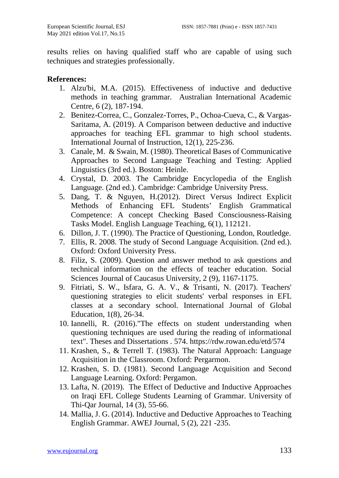results relies on having qualified staff who are capable of using such techniques and strategies professionally.

#### **References:**

- 1. Alzu'bi, M.A. (2015). Effectiveness of inductive and deductive methods in teaching grammar. Australian International Academic Centre, 6 (2), 187-194.
- 2. Benitez-Correa, C., Gonzalez-Torres, P., Ochoa-Cueva, C., & Vargas-Saritama, A. (2019). A Comparison between deductive and inductive approaches for teaching EFL grammar to high school students. International Journal of Instruction, 12(1), 225-236.
- 3. Canale, M. & Swain, M. (1980). Theoretical Bases of Communicative Approaches to Second Language Teaching and Testing: Applied Linguistics (3rd ed.). Boston: Heinle.
- 4. Crystal, D. 2003. The Cambridge Encyclopedia of the English Language. (2nd ed.). Cambridge: Cambridge University Press.
- 5. Dang, T. & Nguyen, H.(2012). Direct Versus Indirect Explicit Methods of Enhancing EFL Students' English Grammatical Competence: A concept Checking Based Consciousness-Raising Tasks Model. English Language Teaching, 6(1), 112121.
- 6. Dillon, J. T. (1990). The Practice of Questioning, London, Routledge.
- 7. Ellis, R. 2008. The study of Second Language Acquisition. (2nd ed.). Oxford: Oxford University Press.
- 8. Filiz, S. (2009). Question and answer method to ask questions and technical information on the effects of teacher education. Social Sciences Journal of Caucasus University, 2 (9), 1167-1175.
- 9. Fitriati, S. W., Isfara, G. A. V., & Trisanti, N. (2017). Teachers' questioning strategies to elicit students' verbal responses in EFL classes at a secondary school. International Journal of Global Education, 1(8), 26-34.
- 10. Iannelli, R. (2016)."The effects on student understanding when questioning techniques are used during the reading of informational text". Theses and Dissertations . 574. https://rdw.rowan.edu/etd/574
- 11. Krashen, S., & Terrell T. (1983). The Natural Approach: Language Acquisition in the Classroom. Oxford: Pergarmon.
- 12. Krashen, S. D. (1981). Second Language Acquisition and Second Language Learning. Oxford: Pergamon.
- 13. Lafta, N. (2019). The Effect of Deductive and Inductive Approaches on Iraqi EFL College Students Learning of Grammar. University of Thi-Qar Journal, 14 (3), 55-66.
- 14. Mallia, J. G. (2014). Inductive and Deductive Approaches to Teaching English Grammar. AWEJ Journal, 5 (2), 221 -235.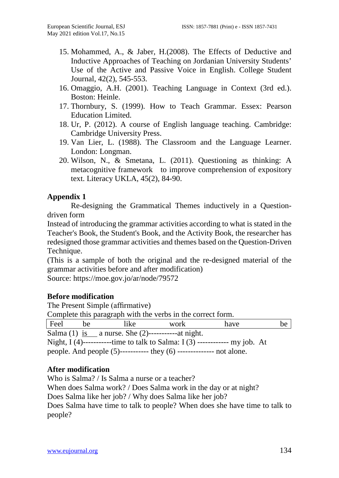- 15. Mohammed, A., & Jaber, H.(2008). The Effects of Deductive and Inductive Approaches of Teaching on Jordanian University Students' Use of the Active and Passive Voice in English. College Student Journal, 42(2), 545-553.
- 16. Omaggio, A.H. (2001). Teaching Language in Context (3rd ed.). Boston: Heinle.
- 17. Thornbury, S. (1999). How to Teach Grammar. Essex: Pearson Education Limited.
- 18. Ur, P. (2012). A course of English language teaching. Cambridge: Cambridge University Press.
- 19. Van Lier, L. (1988). The Classroom and the Language Learner. London: Longman.
- 20. Wilson, N., & Smetana, L. (2011). Questioning as thinking: A metacognitive framework to improve comprehension of expository text. Literacy UKLA, 45(2), 84-90.

## **Appendix 1**

Re-designing the Grammatical Themes inductively in a Questiondriven form

Instead of introducing the grammar activities according to what is stated in the Teacher's Book, the Student's Book, and the Activity Book, the researcher has redesigned those grammar activities and themes based on the Question-Driven Technique.

(This is a sample of both the original and the re-designed material of the grammar activities before and after modification)

Source:<https://moe.gov.jo/ar/node/79572>

#### **Before modification**

The Present Simple (affirmative) Complete this paragraph with the verbs in the correct form. Feel be like work have be Salma (1) is a nurse. She (2)-----------at night. Night,  $I(4)$ ------------time to talk to Salma:  $I(3)$ ------------- my job. At people. And people (5)----------- they (6) -------------- not alone.

## **After modification**

Who is Salma? / Is Salma a nurse or a teacher? When does Salma work? / Does Salma work in the day or at night? Does Salma like her job? / Why does Salma like her job? Does Salma have time to talk to people? When does she have time to talk to people?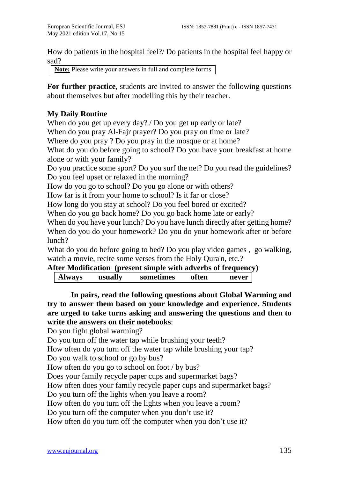How do patients in the hospital feel?/ Do patients in the hospital feel happy or sad?

**Note:** Please write your answers in full and complete forms

**For further practice**, students are invited to answer the following questions about themselves but after modelling this by their teacher.

## **My Daily Routine**

When do you get up every day? / Do you get up early or late?

When do you pray Al-Fajr prayer? Do you pray on time or late?

Where do you pray ? Do you pray in the mosque or at home?

What do you do before going to school? Do you have your breakfast at home alone or with your family?

Do you practice some sport? Do you surf the net? Do you read the guidelines? Do you feel upset or relaxed in the morning?

How do you go to school? Do you go alone or with others?

How far is it from your home to school? Is it far or close?

How long do you stay at school? Do you feel bored or excited?

When do you go back home? Do you go back home late or early?

When do you have your lunch? Do you have lunch directly after getting home? When do you do your homework? Do you do your homework after or before lunch?

What do you do before going to bed? Do you play video games , go walking, watch a movie, recite some verses from the Holy Qura'n, etc.?

## **After Modification (present simple with adverbs of frequency)**

| Always |  | usually | sometimes | often | never |  |
|--------|--|---------|-----------|-------|-------|--|
|--------|--|---------|-----------|-------|-------|--|

**In pairs, read the following questions about Global Warming and try to answer them based on your knowledge and experience. Students are urged to take turns asking and answering the questions and then to write the answers on their notebooks**:

Do you fight global warming?

Do you turn off the water tap while brushing your teeth?

How often do you turn off the water tap while brushing your tap?

Do you walk to school or go by bus?

How often do you go to school on foot / by bus?

Does your family recycle paper cups and supermarket bags?

How often does your family recycle paper cups and supermarket bags?

Do you turn off the lights when you leave a room?

How often do you turn off the lights when you leave a room?

Do you turn off the computer when you don't use it?

How often do you turn off the computer when you don't use it?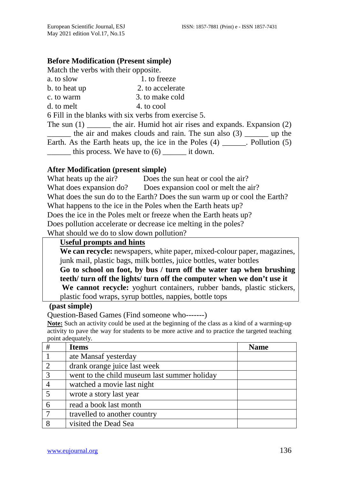#### **Before Modification (Present simple)**

Match the verbs with their opposite.

a. to slow 1. to freeze b. to heat up 2. to accelerate c. to warm 3. to make cold  $d.$  to melt  $4.$  to cool

6 Fill in the blanks with six verbs from exercise 5.

The sun  $(1)$  \_\_\_\_\_\_\_ the air. Humid hot air rises and expands. Expansion  $(2)$ \_\_\_\_\_\_ the air and makes clouds and rain. The sun also (3) \_\_\_\_\_\_ up the Earth. As the Earth heats up, the ice in the Poles  $(4)$  \_\_\_\_\_\_. Pollution  $(5)$ this process. We have to  $(6)$  it down.

#### **After Modification (present simple)**

What heats up the air? Does the sun heat or cool the air? What does expansion do? Does expansion cool or melt the air? What does the sun do to the Earth? Does the sun warm up or cool the Earth? What happens to the ice in the Poles when the Earth heats up? Does the ice in the Poles melt or freeze when the Earth heats up? Does pollution accelerate or decrease ice melting in the poles? What should we do to slow down pollution?

#### **Useful prompts and hints**

**We can recycle:** newspapers, white paper, mixed-colour paper, magazines, junk mail, plastic bags, milk bottles, juice bottles, water bottles **Go to school on foot, by bus / turn off the water tap when brushing teeth/ turn off the lights/ turn off the computer when we don't use it**

**We cannot recycle:** yoghurt containers, rubber bands, plastic stickers, plastic food wraps, syrup bottles, nappies, bottle tops

#### **(past simple)**

Question-Based Games (Find someone who-------)

**Note:** Such an activity could be used at the beginning of the class as a kind of a warming-up activity to pave the way for students to be more active and to practice the targeted teaching point adequately.

| # | <b>Items</b>                                 | <b>Name</b> |
|---|----------------------------------------------|-------------|
|   | ate Mansaf yesterday                         |             |
| 2 | drank orange juice last week                 |             |
| 3 | went to the child museum last summer holiday |             |
|   | watched a movie last night                   |             |
|   | wrote a story last year                      |             |
|   | read a book last month                       |             |
|   | travelled to another country                 |             |
|   | visited the Dead Sea                         |             |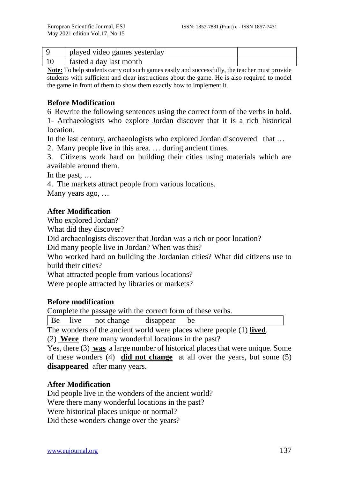| played video games yesterday |  |
|------------------------------|--|
| fasted a day last month      |  |

**Note:** To help students carry out such games easily and successfully, the teacher must provide students with sufficient and clear instructions about the game. He is also required to model the game in front of them to show them exactly how to implement it.

## **Before Modification**

6 Rewrite the following sentences using the correct form of the verbs in bold.

1- Archaeologists who explore Jordan discover that it is a rich historical location.

In the last century, archaeologists who explored Jordan discovered that …

2. Many people live in this area. … during ancient times.

3. Citizens work hard on building their cities using materials which are available around them.

In the past, …

4. The markets attract people from various locations.

Many years ago, …

## **After Modification**

Who explored Jordan?

What did they discover?

Did archaeologists discover that Jordan was a rich or poor location?

Did many people live in Jordan? When was this?

Who worked hard on building the Jordanian cities? What did citizens use to build their cities?

What attracted people from various locations?

Were people attracted by libraries or markets?

## **Before modification**

Complete the passage with the correct form of these verbs.

Be live not change disappear be

The wonders of the ancient world were places where people (1) **lived**.

(2) **Were** there many wonderful locations in the past?

Yes, there (3) **was** a large number of historical places that were unique. Some of these wonders (4) **did not change** at all over the years, but some (5) **disappeared** after many years.

## **After Modification**

Did people live in the wonders of the ancient world? Were there many wonderful locations in the past? Were historical places unique or normal? Did these wonders change over the years?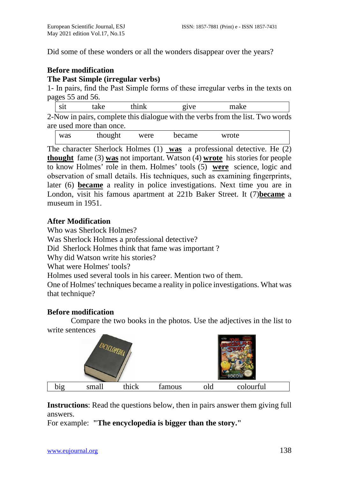Did some of these wonders or all the wonders disappear over the years?

## **Before modification**

#### **The Past Simple (irregular verbs)**

1- In pairs, find the Past Simple forms of these irregular verbs in the texts on pages 55 and 56.

| sit | take | think | 91V <sub>e</sub>                                                               | make |  |
|-----|------|-------|--------------------------------------------------------------------------------|------|--|
|     |      |       | 2-Now in pairs, complete this dialogue with the verbs from the list. Two words |      |  |

are used more than once.

| was | thought | were | became | wrote |  |
|-----|---------|------|--------|-------|--|
|-----|---------|------|--------|-------|--|

The character Sherlock Holmes (1) **was** a professional detective. He (2) **thought** fame (3) **was** not important. Watson (4) **wrote** his stories for people to know Holmes' role in them. Holmes' tools (5) **were** science, logic and observation of small details. His techniques, such as examining fingerprints, later (6) **became** a reality in police investigations. Next time you are in London, visit his famous apartment at 221b Baker Street. It (7)**became** a museum in 1951.

## **After Modification**

Who was Sherlock Holmes?

Was Sherlock Holmes a professional detective?

Did Sherlock Holmes think that fame was important ?

Why did Watson write his stories?

What were Holmes' tools?

Holmes used several tools in his career. Mention two of them.

One of Holmes' techniques became a reality in police investigations. What was that technique?

## **Before modification**

Compare the two books in the photos. Use the adjectives in the list to write sentences

|     |       |       |        | $\frac{1}{2}$ |           |  |
|-----|-------|-------|--------|---------------|-----------|--|
| big | small | thick | famous | old           | colourful |  |

**Instructions**: Read the questions below, then in pairs answer them giving full answers.

For example: **"The encyclopedia is bigger than the story."**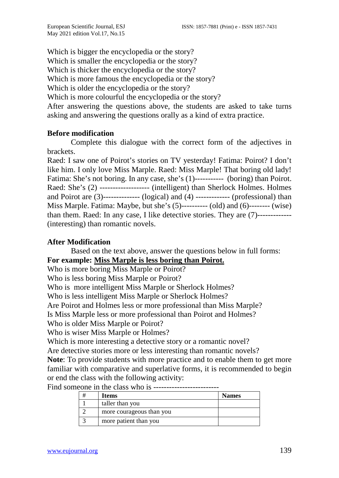Which is bigger the encyclopedia or the story? Which is smaller the encyclopedia or the story? Which is thicker the encyclopedia or the story? Which is more famous the encyclopedia or the story? Which is older the encyclopedia or the story? Which is more colourful the encyclopedia or the story? After answering the questions above, the students are asked to take turns asking and answering the questions orally as a kind of extra practice.

## **Before modification**

Complete this dialogue with the correct form of the adjectives in brackets.

Raed: I saw one of Poirot's stories on TV yesterday! Fatima: Poirot? I don't like him. I only love Miss Marple. Raed: Miss Marple! That boring old lady! Fatima: She's not boring. In any case, she's (1)----------- (boring) than Poirot. Raed: She's (2) ------------------- (intelligent) than Sherlock Holmes. Holmes and Poirot are (3)-------------- (logical) and (4) ------------- (professional) than Miss Marple. Fatima: Maybe, but she's (5)---------- (old) and (6)-------- (wise) than them. Raed: In any case, I like detective stories. They are (7)------------- (interesting) than romantic novels.

#### **After Modification**

Based on the text above, answer the questions below in full forms: **For example: Miss Marple is less boring than Poirot.** 

Who is more boring Miss Marple or Poirot?

Who is less boring Miss Marple or Poirot?

Who is more intelligent Miss Marple or Sherlock Holmes?

Who is less intelligent Miss Marple or Sherlock Holmes?

Are Poirot and Holmes less or more professional than Miss Marple?

Is Miss Marple less or more professional than Poirot and Holmes?

Who is older Miss Marple or Poirot?

Who is wiser Miss Marple or Holmes?

Which is more interesting a detective story or a romantic novel?

Are detective stories more or less interesting than romantic novels?

**Note**: To provide students with more practice and to enable them to get more familiar with comparative and superlative forms, it is recommended to begin or end the class with the following activity:

Find someone in the class who is -------------------------

|  | Items                    | <b>Names</b> |
|--|--------------------------|--------------|
|  | taller than you          |              |
|  | more courageous than you |              |
|  | more patient than you    |              |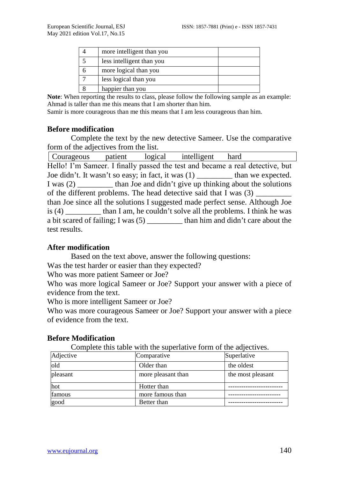| more intelligent than you |  |
|---------------------------|--|
| less intelligent than you |  |
| more logical than you     |  |
| less logical than you     |  |
| happier than you          |  |

Note: When reporting the results to class, please follow the following sample as an example: Ahmad is taller than me this means that I am shorter than him.

Samir is more courageous than me this means that I am less courageous than him.

#### **Before modification**

Complete the text by the new detective Sameer. Use the comparative form of the adjectives from the list.

| Hello! I'm Sameer. I finally passed the test and became a real detective, but    |  |  |  |  |  |  |
|----------------------------------------------------------------------------------|--|--|--|--|--|--|
| Joe didn't. It wasn't so easy; in fact, it was (1) __________ than we expected.  |  |  |  |  |  |  |
| I was (2) __________ than Joe and didn't give up thinking about the solutions    |  |  |  |  |  |  |
| of the different problems. The head detective said that I was (3) ________       |  |  |  |  |  |  |
| than Joe since all the solutions I suggested made perfect sense. Although Joe    |  |  |  |  |  |  |
| is (4) than I am, he couldn't solve all the problems. I think he was             |  |  |  |  |  |  |
| a bit scared of failing; I was (5) __________ than him and didn't care about the |  |  |  |  |  |  |
| test results.                                                                    |  |  |  |  |  |  |

#### **After modification**

Based on the text above, answer the following questions:

Was the test harder or easier than they expected?

Who was more patient Sameer or Joe?

Who was more logical Sameer or Joe? Support your answer with a piece of evidence from the text.

Who is more intelligent Sameer or Joe?

Who was more courageous Sameer or Joe? Support your answer with a piece of evidence from the text.

| Complete this table with the superlative form of the adjectives. |                    |                   |  |  |  |
|------------------------------------------------------------------|--------------------|-------------------|--|--|--|
| Adjective                                                        | Comparative        | Superlative       |  |  |  |
| old                                                              | Older than         | the oldest        |  |  |  |
| pleasant                                                         | more pleasant than | the most pleasant |  |  |  |
| hot                                                              | Hotter than        |                   |  |  |  |
| famous                                                           | more famous than   |                   |  |  |  |
| good                                                             | Better than        |                   |  |  |  |

#### **Before Modification**

 $\mathbf{t}$  the superlative the superlative form of the adjective form of the adjectives.